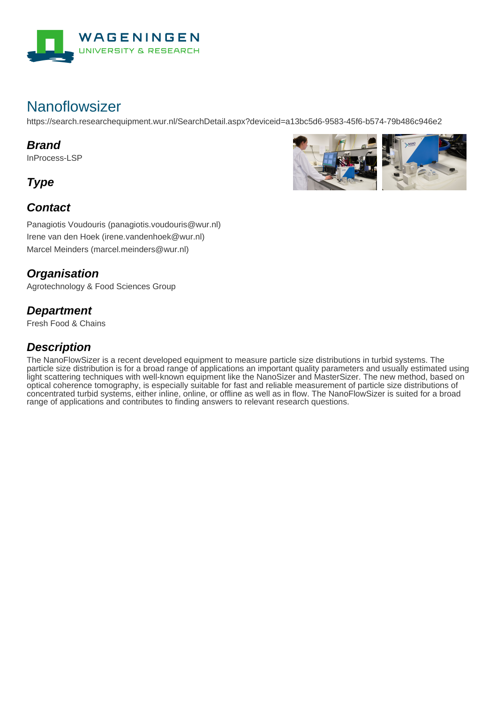

# **Nanoflowsizer**

https://search.researchequipment.wur.nl/SearchDetail.aspx?deviceid=a13bc5d6-9583-45f6-b574-79b486c946e2

#### **Brand**

InProcess-LSP

**Type**

### **Contact**



Panagiotis Voudouris (panagiotis.voudouris@wur.nl) Irene van den Hoek (irene.vandenhoek@wur.nl) Marcel Meinders (marcel.meinders@wur.nl)

### **Organisation**

Agrotechnology & Food Sciences Group

#### **Department**

Fresh Food & Chains

## **Description**

The NanoFlowSizer is a recent developed equipment to measure particle size distributions in turbid systems. The particle size distribution is for a broad range of applications an important quality parameters and usually estimated using light scattering techniques with well-known equipment like the NanoSizer and MasterSizer. The new method, based on optical coherence tomography, is especially suitable for fast and reliable measurement of particle size distributions of concentrated turbid systems, either inline, online, or offline as well as in flow. The NanoFlowSizer is suited for a broad range of applications and contributes to finding answers to relevant research questions.